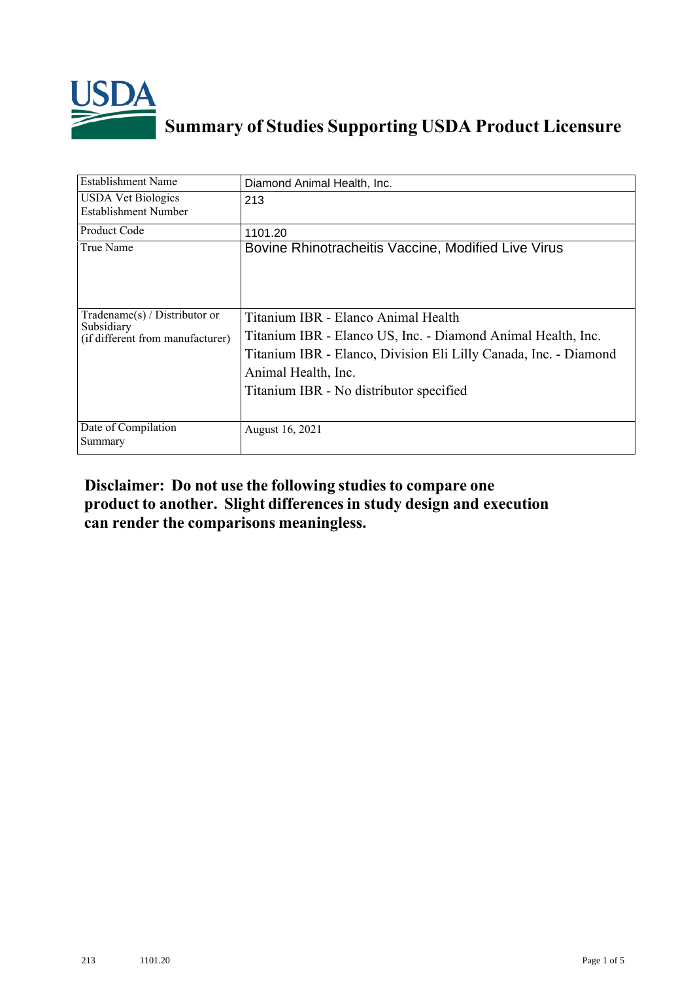

## **Summary of Studies Supporting USDA Product Licensure**

| Establishment Name                                                                 | Diamond Animal Health, Inc.                                                                                                                                                                                                               |  |  |
|------------------------------------------------------------------------------------|-------------------------------------------------------------------------------------------------------------------------------------------------------------------------------------------------------------------------------------------|--|--|
| <b>USDA Vet Biologics</b><br>Establishment Number                                  | 213                                                                                                                                                                                                                                       |  |  |
| Product Code                                                                       | 1101.20                                                                                                                                                                                                                                   |  |  |
| True Name                                                                          | Bovine Rhinotracheitis Vaccine, Modified Live Virus                                                                                                                                                                                       |  |  |
| Tradename $(s)$ / Distributor or<br>Subsidiary<br>(if different from manufacturer) | Titanium IBR - Elanco Animal Health<br>Titanium IBR - Elanco US, Inc. - Diamond Animal Health, Inc.<br>Titanium IBR - Elanco, Division Eli Lilly Canada, Inc. - Diamond<br>Animal Health, Inc.<br>Titanium IBR - No distributor specified |  |  |
| Date of Compilation<br>Summary                                                     | August 16, 2021                                                                                                                                                                                                                           |  |  |

## **Disclaimer: Do not use the following studiesto compare one product to another. Slight differencesin study design and execution can render the comparisons meaningless.**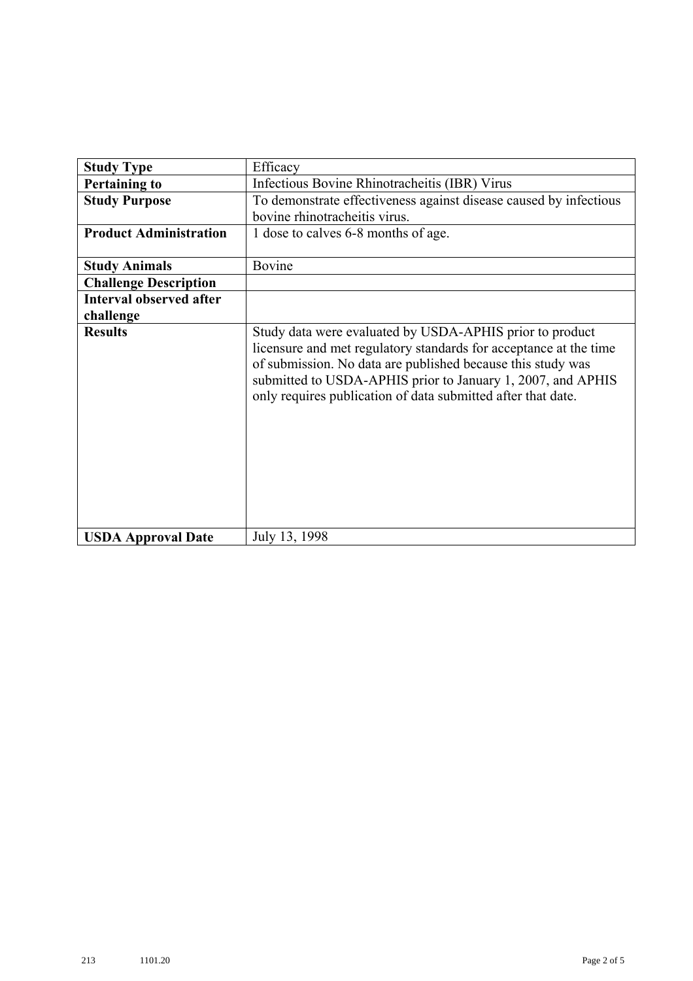| <b>Study Type</b>              | Efficacy                                                                                                                                                                                                                                                                                                                    |  |  |  |  |
|--------------------------------|-----------------------------------------------------------------------------------------------------------------------------------------------------------------------------------------------------------------------------------------------------------------------------------------------------------------------------|--|--|--|--|
| <b>Pertaining to</b>           | Infectious Bovine Rhinotracheitis (IBR) Virus                                                                                                                                                                                                                                                                               |  |  |  |  |
| <b>Study Purpose</b>           | To demonstrate effectiveness against disease caused by infectious                                                                                                                                                                                                                                                           |  |  |  |  |
|                                | bovine rhinotracheitis virus.                                                                                                                                                                                                                                                                                               |  |  |  |  |
| <b>Product Administration</b>  | 1 dose to calves 6-8 months of age.                                                                                                                                                                                                                                                                                         |  |  |  |  |
| <b>Study Animals</b>           | Bovine                                                                                                                                                                                                                                                                                                                      |  |  |  |  |
| <b>Challenge Description</b>   |                                                                                                                                                                                                                                                                                                                             |  |  |  |  |
| <b>Interval observed after</b> |                                                                                                                                                                                                                                                                                                                             |  |  |  |  |
| challenge                      |                                                                                                                                                                                                                                                                                                                             |  |  |  |  |
| <b>Results</b>                 | Study data were evaluated by USDA-APHIS prior to product<br>licensure and met regulatory standards for acceptance at the time<br>of submission. No data are published because this study was<br>submitted to USDA-APHIS prior to January 1, 2007, and APHIS<br>only requires publication of data submitted after that date. |  |  |  |  |
| <b>USDA Approval Date</b>      | July 13, 1998                                                                                                                                                                                                                                                                                                               |  |  |  |  |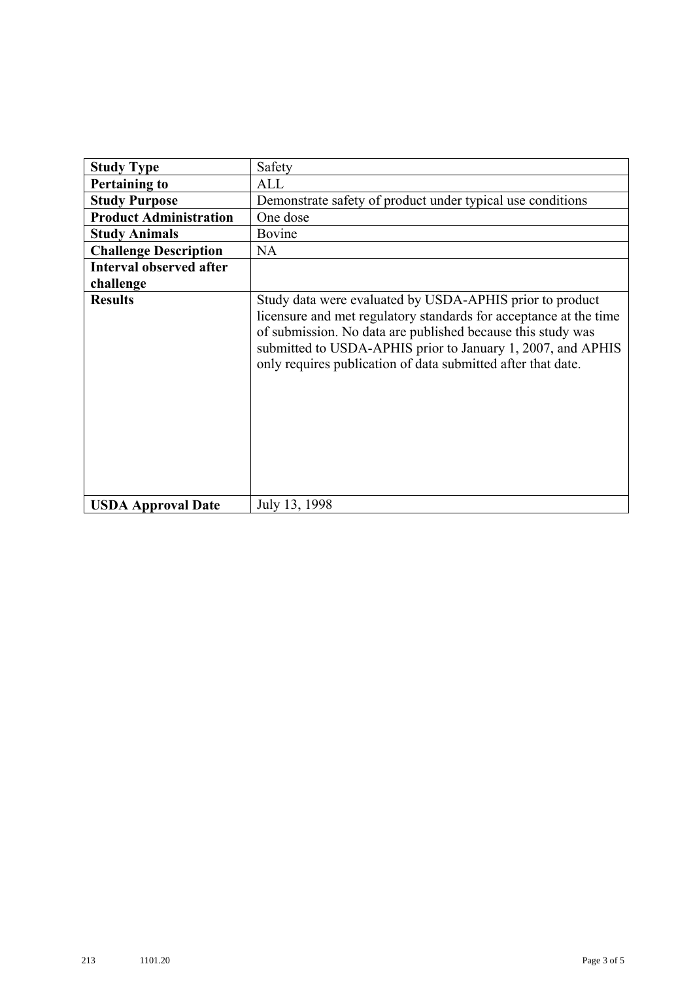| <b>Study Type</b>              | Safety                                                                                                                                                                                                                                                                                                                      |  |  |
|--------------------------------|-----------------------------------------------------------------------------------------------------------------------------------------------------------------------------------------------------------------------------------------------------------------------------------------------------------------------------|--|--|
| <b>Pertaining to</b>           | ALL                                                                                                                                                                                                                                                                                                                         |  |  |
| <b>Study Purpose</b>           | Demonstrate safety of product under typical use conditions                                                                                                                                                                                                                                                                  |  |  |
| <b>Product Administration</b>  | One dose                                                                                                                                                                                                                                                                                                                    |  |  |
| <b>Study Animals</b>           | Bovine                                                                                                                                                                                                                                                                                                                      |  |  |
| <b>Challenge Description</b>   | <b>NA</b>                                                                                                                                                                                                                                                                                                                   |  |  |
| <b>Interval observed after</b> |                                                                                                                                                                                                                                                                                                                             |  |  |
| challenge                      |                                                                                                                                                                                                                                                                                                                             |  |  |
| <b>Results</b>                 | Study data were evaluated by USDA-APHIS prior to product<br>licensure and met regulatory standards for acceptance at the time<br>of submission. No data are published because this study was<br>submitted to USDA-APHIS prior to January 1, 2007, and APHIS<br>only requires publication of data submitted after that date. |  |  |
| <b>USDA Approval Date</b>      | July 13, 1998                                                                                                                                                                                                                                                                                                               |  |  |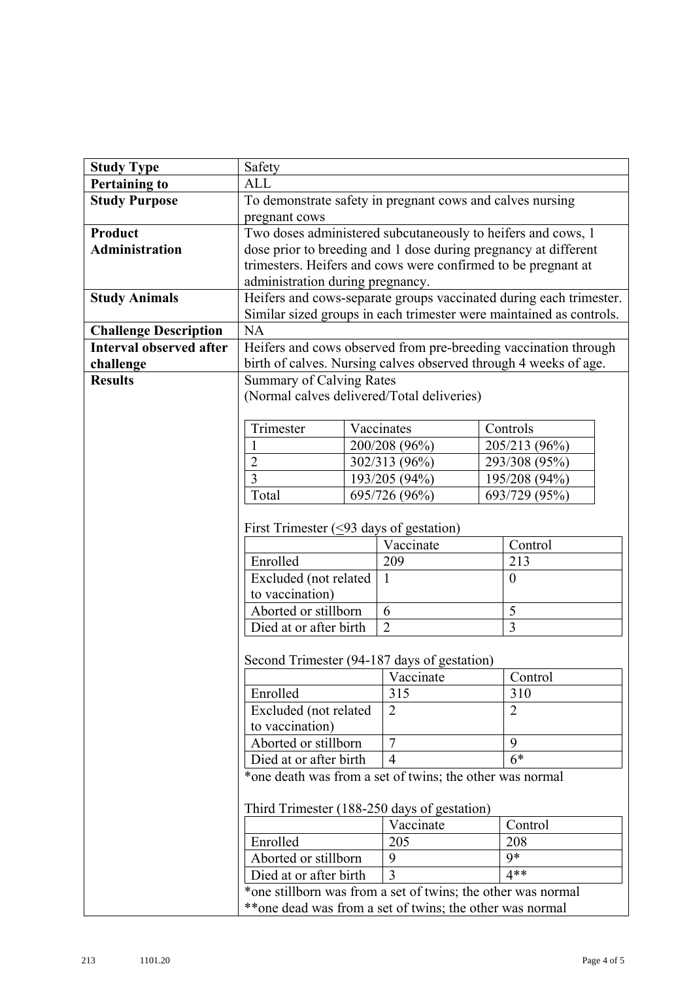| <b>Study Type</b>              | Safety                                                             |                                                                 |                                                          |                                                                     |  |  |  |
|--------------------------------|--------------------------------------------------------------------|-----------------------------------------------------------------|----------------------------------------------------------|---------------------------------------------------------------------|--|--|--|
| <b>Pertaining to</b>           | <b>ALL</b>                                                         |                                                                 |                                                          |                                                                     |  |  |  |
| <b>Study Purpose</b>           | To demonstrate safety in pregnant cows and calves nursing          |                                                                 |                                                          |                                                                     |  |  |  |
|                                | pregnant cows                                                      |                                                                 |                                                          |                                                                     |  |  |  |
| Product                        |                                                                    | Two doses administered subcutaneously to heifers and cows, 1    |                                                          |                                                                     |  |  |  |
| <b>Administration</b>          |                                                                    | dose prior to breeding and 1 dose during pregnancy at different |                                                          |                                                                     |  |  |  |
|                                |                                                                    |                                                                 |                                                          | trimesters. Heifers and cows were confirmed to be pregnant at       |  |  |  |
|                                |                                                                    | administration during pregnancy.                                |                                                          |                                                                     |  |  |  |
| <b>Study Animals</b>           | Heifers and cows-separate groups vaccinated during each trimester. |                                                                 |                                                          |                                                                     |  |  |  |
|                                |                                                                    |                                                                 |                                                          | Similar sized groups in each trimester were maintained as controls. |  |  |  |
| <b>Challenge Description</b>   | <b>NA</b>                                                          |                                                                 |                                                          |                                                                     |  |  |  |
| <b>Interval observed after</b> |                                                                    | Heifers and cows observed from pre-breeding vaccination through |                                                          |                                                                     |  |  |  |
| challenge                      | birth of calves. Nursing calves observed through 4 weeks of age.   |                                                                 |                                                          |                                                                     |  |  |  |
| <b>Results</b>                 | <b>Summary of Calving Rates</b>                                    |                                                                 |                                                          |                                                                     |  |  |  |
|                                |                                                                    |                                                                 | (Normal calves delivered/Total deliveries)               |                                                                     |  |  |  |
|                                |                                                                    |                                                                 |                                                          |                                                                     |  |  |  |
|                                | Trimester                                                          |                                                                 | Vaccinates                                               | Controls                                                            |  |  |  |
|                                |                                                                    |                                                                 | 200/208 (96%)                                            | 205/213 (96%)                                                       |  |  |  |
|                                | $\overline{2}$                                                     |                                                                 | 302/313 (96%)                                            | 293/308 (95%)                                                       |  |  |  |
|                                | $\overline{3}$                                                     |                                                                 | 193/205 (94%)                                            | 195/208 (94%)                                                       |  |  |  |
|                                | Total                                                              |                                                                 | 695/726 (96%)                                            | 693/729 (95%)                                                       |  |  |  |
|                                |                                                                    |                                                                 |                                                          |                                                                     |  |  |  |
|                                | First Trimester $(\leq)$ days of gestation)                        |                                                                 |                                                          |                                                                     |  |  |  |
|                                |                                                                    |                                                                 | Vaccinate                                                | Control                                                             |  |  |  |
|                                | Enrolled                                                           |                                                                 | 209                                                      | 213                                                                 |  |  |  |
|                                | Excluded (not related                                              |                                                                 | $\mathbf{1}$                                             | $\theta$                                                            |  |  |  |
|                                | to vaccination)<br>Aborted or stillborn                            |                                                                 | 6                                                        | 5                                                                   |  |  |  |
|                                |                                                                    |                                                                 |                                                          |                                                                     |  |  |  |
|                                | $\overline{3}$<br>Died at or after birth<br>$\overline{2}$         |                                                                 |                                                          |                                                                     |  |  |  |
|                                | Second Trimester (94-187 days of gestation)                        |                                                                 |                                                          |                                                                     |  |  |  |
|                                | Vaccinate                                                          |                                                                 |                                                          | Control                                                             |  |  |  |
|                                | Enrolled<br>Excluded (not related                                  |                                                                 | 315                                                      | 310                                                                 |  |  |  |
|                                |                                                                    |                                                                 | $\overline{2}$                                           | $\overline{2}$                                                      |  |  |  |
|                                | to vaccination)                                                    |                                                                 |                                                          |                                                                     |  |  |  |
|                                | Aborted or stillborn                                               |                                                                 | $\overline{7}$                                           | 9                                                                   |  |  |  |
|                                | Died at or after birth                                             |                                                                 | $\overline{4}$                                           | $6*$                                                                |  |  |  |
|                                |                                                                    |                                                                 | *one death was from a set of twins; the other was normal |                                                                     |  |  |  |
|                                |                                                                    |                                                                 |                                                          |                                                                     |  |  |  |
|                                | Third Trimester (188-250 days of gestation)<br>Vaccinate           |                                                                 |                                                          |                                                                     |  |  |  |
|                                |                                                                    |                                                                 |                                                          | Control                                                             |  |  |  |
|                                | Enrolled                                                           |                                                                 | 205                                                      | 208                                                                 |  |  |  |
|                                | Aborted or stillborn                                               |                                                                 | 9                                                        | $9*$                                                                |  |  |  |
|                                | $4**$<br>Died at or after birth<br>3                               |                                                                 |                                                          |                                                                     |  |  |  |
|                                | *one stillborn was from a set of twins; the other was normal       |                                                                 |                                                          |                                                                     |  |  |  |
|                                |                                                                    |                                                                 | **one dead was from a set of twins; the other was normal |                                                                     |  |  |  |